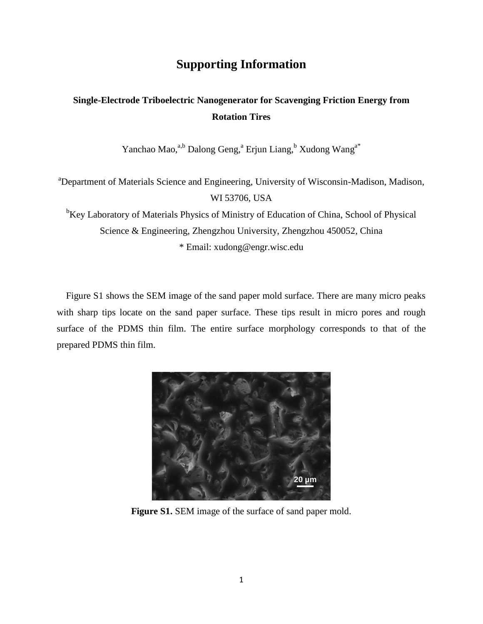## **Supporting Information**

## **Single-Electrode Triboelectric Nanogenerator for Scavenging Friction Energy from Rotation Tires**

Yanchao Mao,<sup>a,b</sup> Dalong Geng,<sup>a</sup> Erjun Liang,<sup>b</sup> Xudong Wang<sup>a\*</sup>

<sup>a</sup>Department of Materials Science and Engineering, University of Wisconsin-Madison, Madison, WI 53706, USA

<sup>b</sup>Key Laboratory of Materials Physics of Ministry of Education of China, School of Physical Science & Engineering, Zhengzhou University, Zhengzhou 450052, China \* Email: xudong@engr.wisc.edu

Figure S1 shows the SEM image of the sand paper mold surface. There are many micro peaks with sharp tips locate on the sand paper surface. These tips result in micro pores and rough surface of the PDMS thin film. The entire surface morphology corresponds to that of the prepared PDMS thin film.



**Figure S1.** SEM image of the surface of sand paper mold.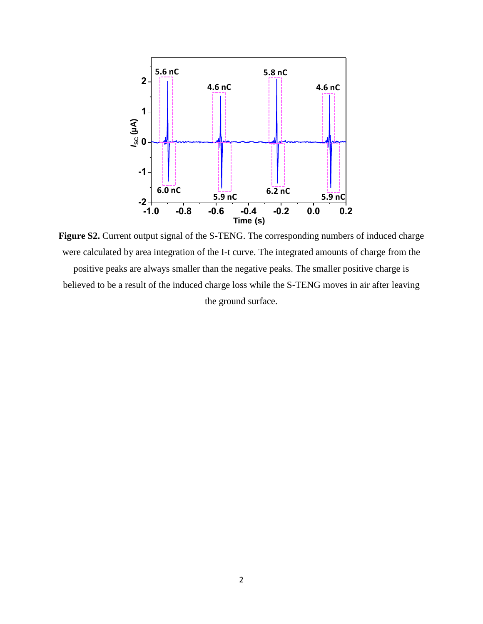

Figure S2. Current output signal of the S-TENG. The corresponding numbers of induced charge were calculated by area integration of the I-t curve. The integrated amounts of charge from the positive peaks are always smaller than the negative peaks. The smaller positive charge is believed to be a result of the induced charge loss while the S-TENG moves in air after leaving the ground surface.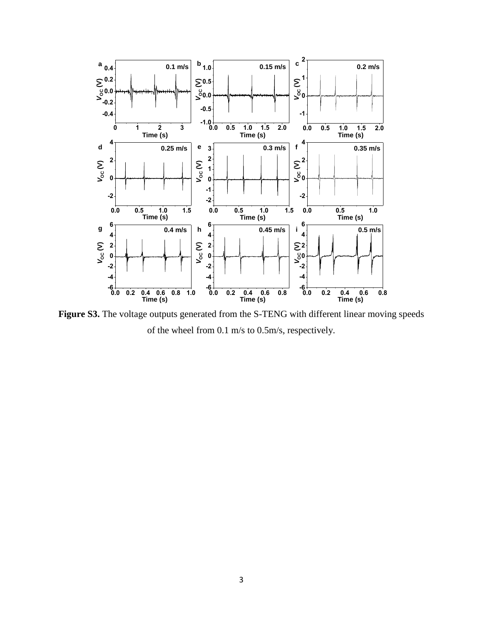

Figure S3. The voltage outputs generated from the S-TENG with different linear moving speeds of the wheel from 0.1 m/s to 0.5m/s, respectively.